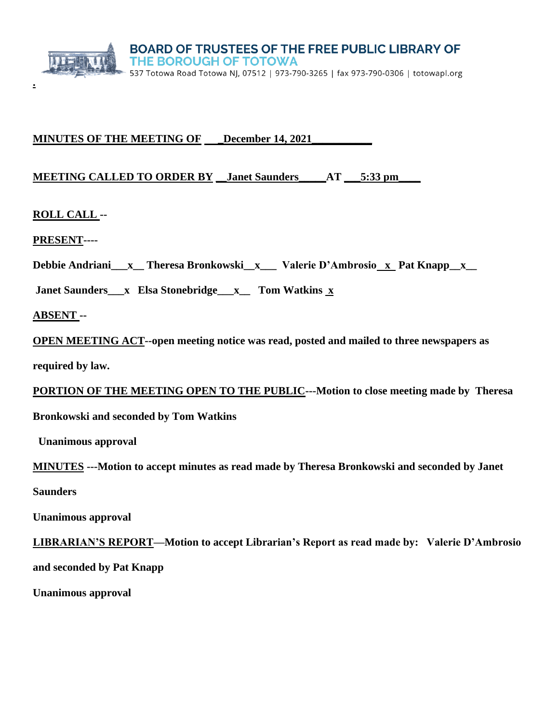

# **MINUTES OF THE MEETING OF \_\_\_ December 14, 2021\_\_\_\_\_\_\_\_\_\_\_\_\_\_\_\_\_\_\_\_\_\_\_\_\_\_\_\_\_\_\_\_\_**

## **MEETING CALLED TO ORDER BY \_\_Janet Saunders\_\_\_\_\_AT \_\_\_5:33 pm\_\_\_\_**

**ROLL CALL --**

**.**

**PRESENT----**

Debbie Andriani\_\_x\_\_ Theresa Bronkowski\_x\_\_\_ Valerie D'Ambrosio\_x\_ Pat Knapp\_x\_\_

**Janet Saunders\_\_\_x Elsa Stonebridge\_\_\_x\_\_ Tom Watkins x** 

**ABSENT --** 

**OPEN MEETING ACT--open meeting notice was read, posted and mailed to three newspapers as** 

**required by law.**

**PORTION OF THE MEETING OPEN TO THE PUBLIC---Motion to close meeting made by Theresa** 

**Bronkowski and seconded by Tom Watkins**

 **Unanimous approval**

**MINUTES ---Motion to accept minutes as read made by Theresa Bronkowski and seconded by Janet** 

**Saunders** 

**Unanimous approval**

**LIBRARIAN'S REPORT—Motion to accept Librarian's Report as read made by: Valerie D'Ambrosio and seconded by Pat Knapp**

**Unanimous approval**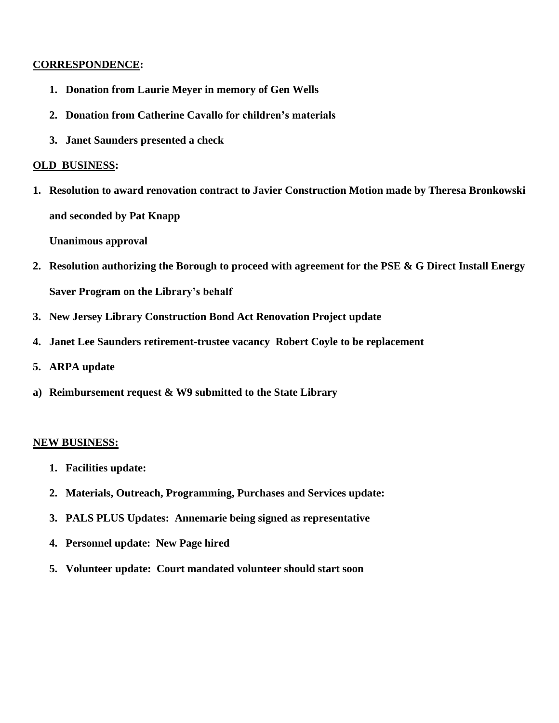## **CORRESPONDENCE:**

- **1. Donation from Laurie Meyer in memory of Gen Wells**
- **2. Donation from Catherine Cavallo for children's materials**
- **3. Janet Saunders presented a check**

### **OLD BUSINESS:**

**1. Resolution to award renovation contract to Javier Construction Motion made by Theresa Bronkowski and seconded by Pat Knapp**

**Unanimous approval**

- **2. Resolution authorizing the Borough to proceed with agreement for the PSE & G Direct Install Energy Saver Program on the Library's behalf**
- **3. New Jersey Library Construction Bond Act Renovation Project update**
- **4. Janet Lee Saunders retirement-trustee vacancy Robert Coyle to be replacement**
- **5. ARPA update**
- **a) Reimbursement request & W9 submitted to the State Library**

#### **NEW BUSINESS:**

- **1. Facilities update:**
- **2. Materials, Outreach, Programming, Purchases and Services update:**
- **3. PALS PLUS Updates: Annemarie being signed as representative**
- **4. Personnel update: New Page hired**
- **5. Volunteer update: Court mandated volunteer should start soon**